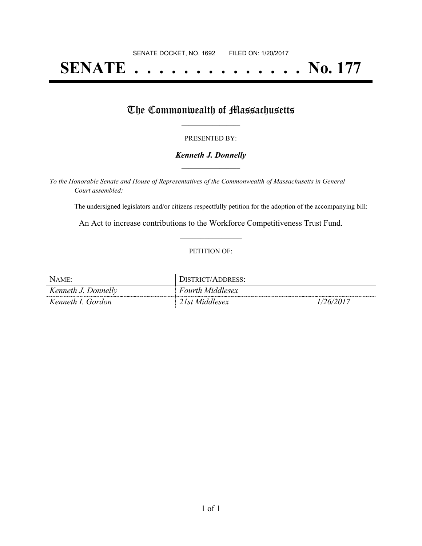# **SENATE . . . . . . . . . . . . . . No. 177**

### The Commonwealth of Massachusetts

#### PRESENTED BY:

#### *Kenneth J. Donnelly* **\_\_\_\_\_\_\_\_\_\_\_\_\_\_\_\_\_**

*To the Honorable Senate and House of Representatives of the Commonwealth of Massachusetts in General Court assembled:*

The undersigned legislators and/or citizens respectfully petition for the adoption of the accompanying bill:

An Act to increase contributions to the Workforce Competitiveness Trust Fund. **\_\_\_\_\_\_\_\_\_\_\_\_\_\_\_**

#### PETITION OF:

| NAME:               | DISTRICT/ADDRESS:       |           |
|---------------------|-------------------------|-----------|
| Kenneth J. Donnelly | <b>Fourth Middlesex</b> |           |
| Kenneth I. Gordon   | 21st Middlesex          | 1/26/2017 |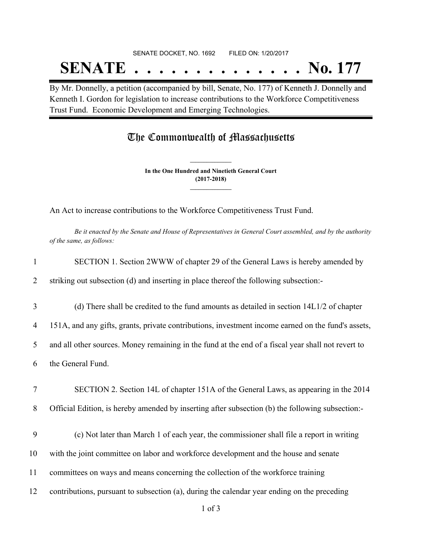# SENATE DOCKET, NO. 1692 FILED ON: 1/20/2017 **SENATE . . . . . . . . . . . . . . No. 177**

By Mr. Donnelly, a petition (accompanied by bill, Senate, No. 177) of Kenneth J. Donnelly and Kenneth I. Gordon for legislation to increase contributions to the Workforce Competitiveness Trust Fund. Economic Development and Emerging Technologies.

## The Commonwealth of Massachusetts

**In the One Hundred and Ninetieth General Court (2017-2018) \_\_\_\_\_\_\_\_\_\_\_\_\_\_\_**

**\_\_\_\_\_\_\_\_\_\_\_\_\_\_\_**

An Act to increase contributions to the Workforce Competitiveness Trust Fund.

Be it enacted by the Senate and House of Representatives in General Court assembled, and by the authority *of the same, as follows:*

| $\mathbf{1}$        | SECTION 1. Section 2WWW of chapter 29 of the General Laws is hereby amended by                                                                                                           |
|---------------------|------------------------------------------------------------------------------------------------------------------------------------------------------------------------------------------|
| $\overline{2}$      | striking out subsection (d) and inserting in place thereof the following subsection:-                                                                                                    |
| 3                   | (d) There shall be credited to the fund amounts as detailed in section 14L1/2 of chapter                                                                                                 |
| $\overline{4}$      | 151A, and any gifts, grants, private contributions, investment income earned on the fund's assets,                                                                                       |
| 5                   | and all other sources. Money remaining in the fund at the end of a fiscal year shall not revert to                                                                                       |
| 6                   | the General Fund.                                                                                                                                                                        |
| $\overline{7}$<br>8 | SECTION 2. Section 14L of chapter 151A of the General Laws, as appearing in the 2014<br>Official Edition, is hereby amended by inserting after subsection (b) the following subsection:- |
| 9                   | (c) Not later than March 1 of each year, the commissioner shall file a report in writing                                                                                                 |
| 10                  | with the joint committee on labor and workforce development and the house and senate                                                                                                     |
| 11                  | committees on ways and means concerning the collection of the workforce training                                                                                                         |
| 12                  | contributions, pursuant to subsection (a), during the calendar year ending on the preceding                                                                                              |
|                     | $1$ of $3$                                                                                                                                                                               |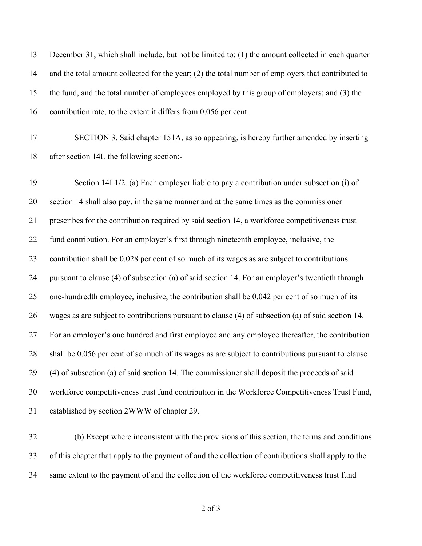December 31, which shall include, but not be limited to: (1) the amount collected in each quarter and the total amount collected for the year; (2) the total number of employers that contributed to the fund, and the total number of employees employed by this group of employers; and (3) the contribution rate, to the extent it differs from 0.056 per cent.

 SECTION 3. Said chapter 151A, as so appearing, is hereby further amended by inserting after section 14L the following section:-

 Section 14L1/2. (a) Each employer liable to pay a contribution under subsection (i) of section 14 shall also pay, in the same manner and at the same times as the commissioner prescribes for the contribution required by said section 14, a workforce competitiveness trust fund contribution. For an employer's first through nineteenth employee, inclusive, the contribution shall be 0.028 per cent of so much of its wages as are subject to contributions pursuant to clause (4) of subsection (a) of said section 14. For an employer's twentieth through one-hundredth employee, inclusive, the contribution shall be 0.042 per cent of so much of its wages as are subject to contributions pursuant to clause (4) of subsection (a) of said section 14. For an employer's one hundred and first employee and any employee thereafter, the contribution shall be 0.056 per cent of so much of its wages as are subject to contributions pursuant to clause (4) of subsection (a) of said section 14. The commissioner shall deposit the proceeds of said workforce competitiveness trust fund contribution in the Workforce Competitiveness Trust Fund, established by section 2WWW of chapter 29.

 (b) Except where inconsistent with the provisions of this section, the terms and conditions of this chapter that apply to the payment of and the collection of contributions shall apply to the same extent to the payment of and the collection of the workforce competitiveness trust fund

of 3